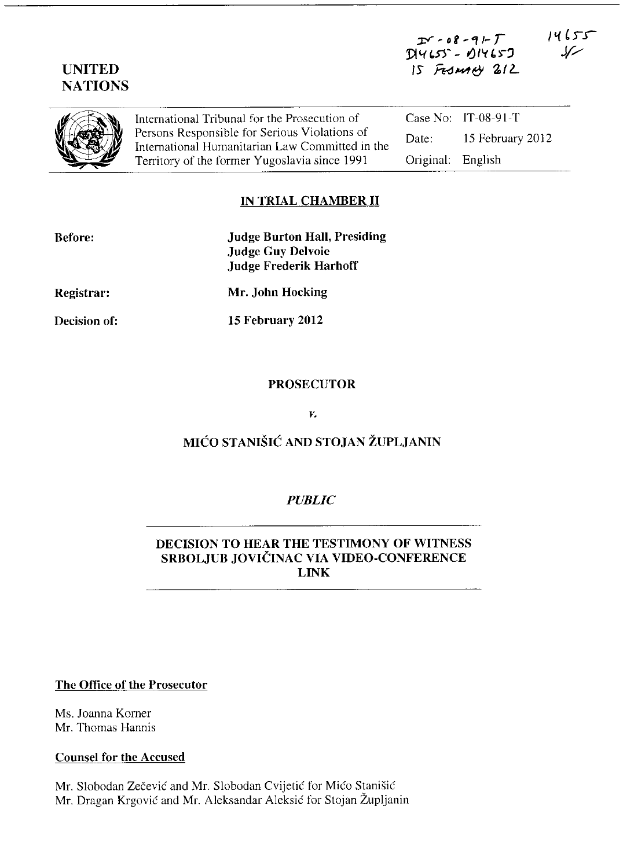| <b>UNITED</b><br><b>NATIONS</b> |                                                                                                                                                                                                    | $I - 08 - 9 - T$<br>$D14655 - 014657$<br>15 FESMARY 212 |                       | ٦٦ ل ١٧ |
|---------------------------------|----------------------------------------------------------------------------------------------------------------------------------------------------------------------------------------------------|---------------------------------------------------------|-----------------------|---------|
|                                 | International Tribunal for the Prosecution of<br>Persons Responsible for Serious Violations of<br>International Humanitarian Law Committed in the<br>Territory of the former Yugoslavia since 1991 |                                                         | Case No: $IT-08-91-T$ |         |
|                                 |                                                                                                                                                                                                    | Date:                                                   | 15 February 2012      |         |
|                                 |                                                                                                                                                                                                    | Original:                                               | English               |         |

# **IN TRIAL CHAMBER 11**

| <b>Before:</b>      | <b>Judge Burton Hall, Presiding</b><br><b>Judge Guy Delvoie</b><br><b>Judge Frederik Harhoff</b> |
|---------------------|--------------------------------------------------------------------------------------------------|
| <b>Registrar:</b>   | Mr. John Hocking                                                                                 |
| <b>Decision of:</b> | 15 February 2012                                                                                 |
|                     |                                                                                                  |

### **PROSECUTOR**

*v.* 

# **MICO STANISIC AND STOJAN ZUPLJANIN**

### *PUBLIC*

# **DECISION TO HEAR THE TESTIMONY OF WITNESS SRBOLJUB JOVICINAC VIA VIDEO-CONFERENCE LINK**

## **The Office of the Prosecutor**

Ms. Joanna Korner Mr. Thomas Hannis

## **Counsel for the Accused**

Mr. Slobodan Zečević and Mr. Slobodan Cvijetić for Mićo Stanišić Mr. Dragan Krgović and Mr. Aleksandar Aleksić for Stojan Župljanin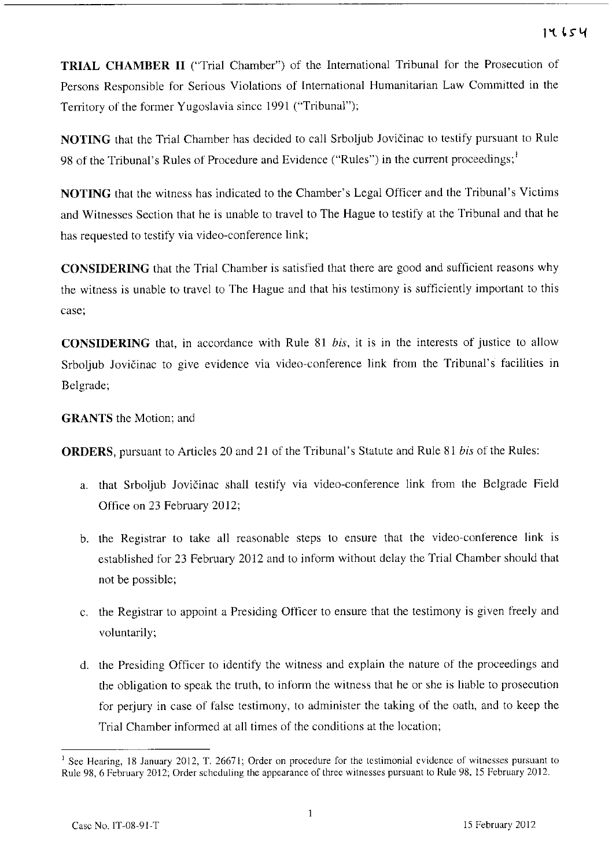**TRIAL CHAMBER 11** ("Trial Chamber") of the International Tribunal for the Prosecution of Persons Responsible for Serious Violations of International Humanitarian Law Committed in the Territory of the fonner Yugoslavia since 1991 ("Tribunal");

**NOTING** that the Trial Chamber has decided to call Srboljub Jovicinac to testify pursuant to Rule 98 of the Tribunal's Rules of Procedure and Evidence ("Rules") in the current proceedings;<sup>1</sup>

**NOTING** that the witness has indicated to the Chamber's Legal Officer and the Tribunal's Victims and Witnesses Section that he is unable to travel to The Hague to testify at the Tribunal and that he has requested to testify via video-conference link;

**CONSIDERING** that the Trial Chamber is satisfied that there are good and sufficient reasons why the witness is unable to travel to The Hague and that his testimony is sufficiently important to this **case;** 

**CONSIDERING** that, In accordance with Rule 81 *bis,* it is in the interests of justice to allow Srboljub Jovicinac to give evidence via video-conference link from the Tribunal's facilities in Belgrade;

# **GRANTS** the Motion; and

**ORDERS,** pursuant to Articles 20 and 21 of the Tribunal's Statute and Rule 81 *bis* of the Rules:

- a. that Srboljub Jovicinac shall testify via video-conference link from the Belgrade Field Office on 23 February 2012;
- b. the Registrar to take all reasonable steps to ensure that the video-conference link is established for 23 February 2012 and to inform without delay the Trial Chamber should that not be possible;
- c. the Registrar to appoint a Presiding Officer to ensure that the testimony is given freely and voluntarily;
- d. the Presiding Officer to identify the witness and explain the nature of the proceedings and the obligation to speak the truth, to inform the witness that he or she is liable to prosecution for perjury in case of false testimony, to administer the taking of the oath, and to keep the Trial Chamber informed at all times of the conditions at the location;

**<sup>I</sup>See Hearing, 18 January 2012, T. 26671; Order on procedure for the testimonial evidence of witnesses pursuant to**  Rule 98, 6 February 2012; Order scheduling the appearance of three witnesses pursuant to Rule 98,15 February 2012.